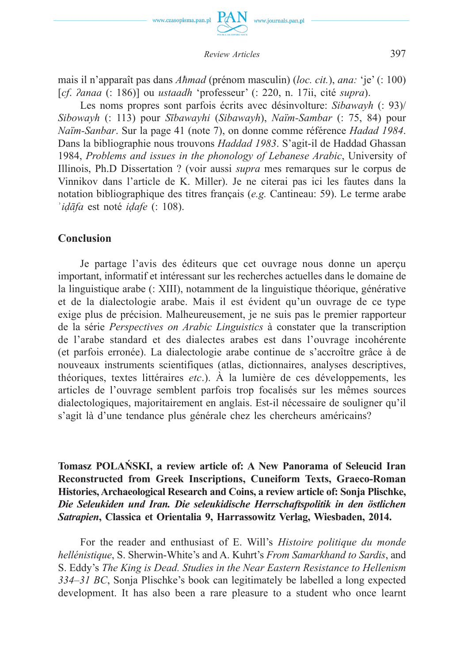

mais il n'apparaît pas dans *Aħmad* (prénom masculin) (*loc. cit.*), *ana:* 'je' (: 100) [*cf*. *ʔanaa* (: 186)] ou *ustaadh* 'professeur' (: 220, n. 17ii, cité *supra*).

Les noms propres sont parfois écrits avec désinvolture: *Sibawayh* (: 93)/ *Sibowayh* (: 113) pour *Sībawayhi* (*Sibawayh*), *Naïm-Sambar* (: 75, 84) pour *Naïm-Sanbar*. Sur la page 41 (note 7), on donne comme référence *Hadad 1984*. Dans la bibliographie nous trouvons *Haddad 1983*. S'agit-il de Haddad Ghassan 1984, *Problems and issues in the phonology of Lebanese Arabic*, University of Illinois, Ph.D Dissertation ? (voir aussi *supra* mes remarques sur le corpus de Vinnikov dans l'article de K. Miller). Je ne citerai pas ici les fautes dans la notation bibliographique des titres français (*e.g.* Cantineau: 59). Le terme arabe ʾ*iḍāfa* est noté *iḍafe* (: 108).

# **Conclusion**

Je partage l'avis des éditeurs que cet ouvrage nous donne un aperçu important, informatif et intéressant sur les recherches actuelles dans le domaine de la linguistique arabe (: XIII), notamment de la linguistique théorique, générative et de la dialectologie arabe. Mais il est évident qu'un ouvrage de ce type exige plus de précision. Malheureusement, je ne suis pas le premier rapporteur de la série *Perspectives on Arabic Linguistics* à constater que la transcription de l'arabe standard et des dialectes arabes est dans l'ouvrage incohérente (et parfois erronée). La dialectologie arabe continue de s'accroître grâce à de nouveaux instruments scientifiques (atlas, dictionnaires, analyses descriptives, théoriques, textes littéraires *etc*.). À la lumière de ces développements, les articles de l'ouvrage semblent parfois trop focalisés sur les mêmes sources dialectologiques, majoritairement en anglais. Est-il nécessaire de souligner qu'il s'agit là d'une tendance plus générale chez les chercheurs américains?

**Tomasz POLAŃSKI, a review article of: A New Panorama of Seleucid Iran Reconstructed from Greek Inscriptions, Cuneiform Texts, Graeco-Roman Histories, Archaeological Research and Coins, a review article of: Sonja Plischke,**  *Die Seleukiden und Iran. Die seleukidische Herrschaftspolitik in den östlichen Satrapien***, Classica et Orientalia 9, Harrassowitz Verlag, Wiesbaden, 2014.** 

For the reader and enthusiast of E. Will's *Histoire politique du monde hellénistique*, S. Sherwin-White's and A. Kuhrt's *From Samarkhand to Sardis*, and S. Eddy's *The King is Dead. Studies in the Near Eastern Resistance to Hellenism 334–31 BC*, Sonja Plischke's book can legitimately be labelled a long expected development. It has also been a rare pleasure to a student who once learnt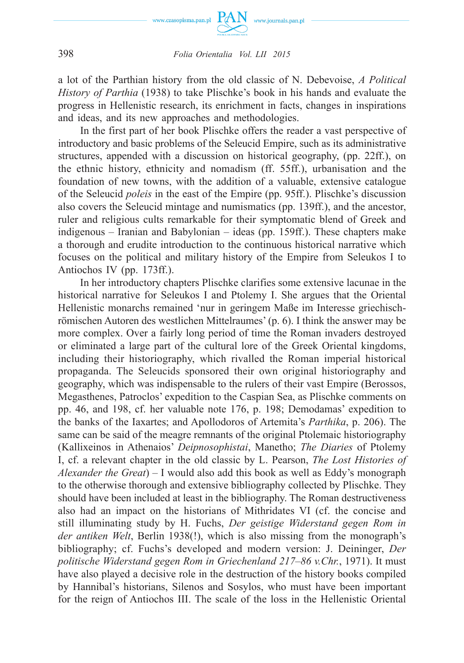

a lot of the Parthian history from the old classic of N. Debevoise, *A Political History of Parthia* (1938) to take Plischke's book in his hands and evaluate the progress in Hellenistic research, its enrichment in facts, changes in inspirations and ideas, and its new approaches and methodologies.

In the first part of her book Plischke offers the reader a vast perspective of introductory and basic problems of the Seleucid Empire, such as its administrative structures, appended with a discussion on historical geography, (pp. 22ff.), on the ethnic history, ethnicity and nomadism (ff. 55ff.), urbanisation and the foundation of new towns, with the addition of a valuable, extensive catalogue of the Seleucid *poleis* in the east of the Empire (pp. 95ff.). Plischke's discussion also covers the Seleucid mintage and numismatics (pp. 139ff.), and the ancestor, ruler and religious cults remarkable for their symptomatic blend of Greek and indigenous – Iranian and Babylonian – ideas (pp. 159ff.). These chapters make a thorough and erudite introduction to the continuous historical narrative which focuses on the political and military history of the Empire from Seleukos I to Antiochos IV (pp. 173ff.).

In her introductory chapters Plischke clarifies some extensive lacunae in the historical narrative for Seleukos I and Ptolemy I. She argues that the Oriental Hellenistic monarchs remained 'nur in geringem Maße im Interesse griechischrömischen Autoren des westlichen Mittelraumes' (p. 6). I think the answer may be more complex. Over a fairly long period of time the Roman invaders destroyed or eliminated a large part of the cultural lore of the Greek Oriental kingdoms, including their historiography, which rivalled the Roman imperial historical propaganda. The Seleucids sponsored their own original historiography and geography, which was indispensable to the rulers of their vast Empire (Berossos, Megasthenes, Patroclos' expedition to the Caspian Sea, as Plischke comments on pp. 46, and 198, cf. her valuable note 176, p. 198; Demodamas' expedition to the banks of the Iaxartes; and Apollodoros of Artemita's *Parthika*, p. 206). The same can be said of the meagre remnants of the original Ptolemaic historiography (Kallixeinos in Athenaios' *Deipnosophistai*, Manetho; *The Diaries* of Ptolemy I, cf. a relevant chapter in the old classic by L. Pearson, *The Lost Histories of Alexander the Great*) – I would also add this book as well as Eddy's monograph to the otherwise thorough and extensive bibliography collected by Plischke. They should have been included at least in the bibliography. The Roman destructiveness also had an impact on the historians of Mithridates VI (cf. the concise and still illuminating study by H. Fuchs, *Der geistige Widerstand gegen Rom in der antiken Welt*, Berlin 1938(!), which is also missing from the monograph's bibliography; cf. Fuchs's developed and modern version: J. Deininger, *Der politische Widerstand gegen Rom in Griechenland 217–86 v.Chr.*, 1971). It must have also played a decisive role in the destruction of the history books compiled by Hannibal's historians, Silenos and Sosylos, who must have been important for the reign of Antiochos III. The scale of the loss in the Hellenistic Oriental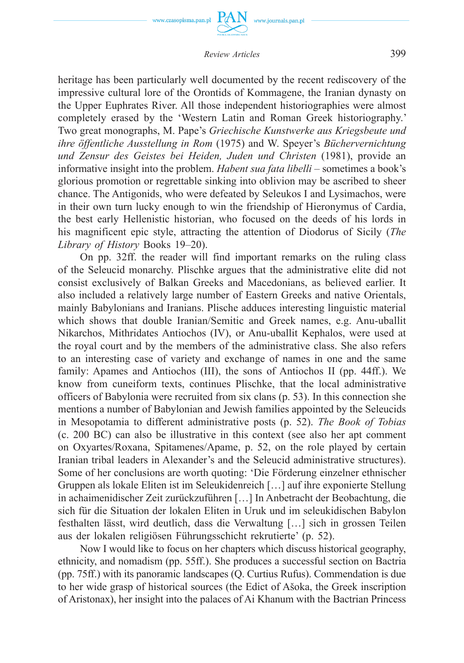

www.journals.pan.pl

heritage has been particularly well documented by the recent rediscovery of the impressive cultural lore of the Orontids of Kommagene, the Iranian dynasty on the Upper Euphrates River. All those independent historiographies were almost completely erased by the 'Western Latin and Roman Greek historiography.' Two great monographs, M. Pape's *Griechische Kunstwerke aus Kriegsbeute und ihre öffentliche Ausstellung in Rom* (1975) and W. Speyer's *Büchervernichtung und Zensur des Geistes bei Heiden, Juden und Christen* (1981), provide an informative insight into the problem. *Habent sua fata libelli* – sometimes a book's glorious promotion or regrettable sinking into oblivion may be ascribed to sheer chance. The Antigonids, who were defeated by Seleukos I and Lysimachos, were in their own turn lucky enough to win the friendship of Hieronymus of Cardia, the best early Hellenistic historian, who focused on the deeds of his lords in his magnificent epic style, attracting the attention of Diodorus of Sicily (*The Library of History* Books 19–20).

On pp. 32ff. the reader will find important remarks on the ruling class of the Seleucid monarchy. Plischke argues that the administrative elite did not consist exclusively of Balkan Greeks and Macedonians, as believed earlier. It also included a relatively large number of Eastern Greeks and native Orientals, mainly Babylonians and Iranians. Plische adduces interesting linguistic material which shows that double Iranian/Semitic and Greek names, e.g. Anu-uballit Nikarchos, Mithridates Antiochos (IV), or Anu-uballit Kephalos, were used at the royal court and by the members of the administrative class. She also refers to an interesting case of variety and exchange of names in one and the same family: Apames and Antiochos (III), the sons of Antiochos II (pp. 44ff.). We know from cuneiform texts, continues Plischke, that the local administrative officers of Babylonia were recruited from six clans (p. 53). In this connection she mentions a number of Babylonian and Jewish families appointed by the Seleucids in Mesopotamia to different administrative posts (p. 52). *The Book of Tobias*  (c. 200 BC) can also be illustrative in this context (see also her apt comment on Oxyartes/Roxana, Spitamenes/Apame, p. 52, on the role played by certain Iranian tribal leaders in Alexander's and the Seleucid administrative structures). Some of her conclusions are worth quoting: 'Die Förderung einzelner ethnischer Gruppen als lokale Eliten ist im Seleukidenreich […] auf ihre exponierte Stellung in achaimenidischer Zeit zurückzuführen […] In Anbetracht der Beobachtung, die sich für die Situation der lokalen Eliten in Uruk und im seleukidischen Babylon festhalten lässt, wird deutlich, dass die Verwaltung […] sich in grossen Teilen aus der lokalen religiösen Führungsschicht rekrutierte' (p. 52).

Now I would like to focus on her chapters which discuss historical geography, ethnicity, and nomadism (pp. 55ff.). She produces a successful section on Bactria (pp. 75ff.) with its panoramic landscapes (Q. Curtius Rufus). Commendation is due to her wide grasp of historical sources (the Edict of Ašoka, the Greek inscription of Aristonax), her insight into the palaces of Ai Khanum with the Bactrian Princess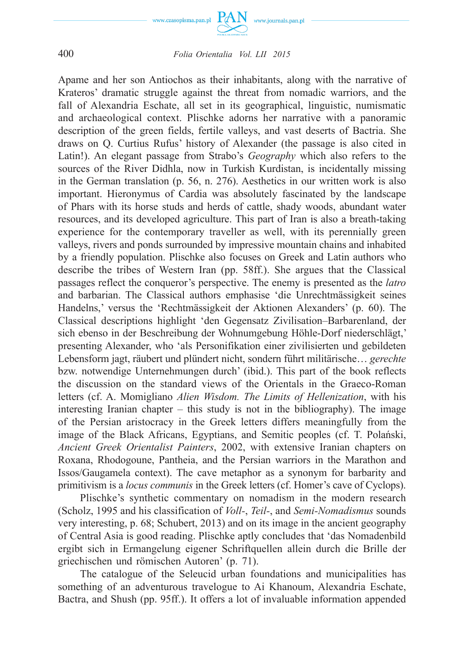

Apame and her son Antiochos as their inhabitants, along with the narrative of Krateros' dramatic struggle against the threat from nomadic warriors, and the fall of Alexandria Eschate, all set in its geographical, linguistic, numismatic and archaeological context. Plischke adorns her narrative with a panoramic description of the green fields, fertile valleys, and vast deserts of Bactria. She draws on Q. Curtius Rufus' history of Alexander (the passage is also cited in Latin!). An elegant passage from Strabo's *Geography* which also refers to the sources of the River Didhla, now in Turkish Kurdistan, is incidentally missing in the German translation (p. 56, n. 276). Aesthetics in our written work is also important. Hieronymus of Cardia was absolutely fascinated by the landscape of Phars with its horse studs and herds of cattle, shady woods, abundant water resources, and its developed agriculture. This part of Iran is also a breath-taking experience for the contemporary traveller as well, with its perennially green valleys, rivers and ponds surrounded by impressive mountain chains and inhabited by a friendly population. Plischke also focuses on Greek and Latin authors who describe the tribes of Western Iran (pp. 58ff.). She argues that the Classical passages reflect the conqueror's perspective. The enemy is presented as the *latro* and barbarian. The Classical authors emphasise 'die Unrechtmässigkeit seines Handelns,' versus the 'Rechtmässigkeit der Aktionen Alexanders' (p. 60). The Classical descriptions highlight 'den Gegensatz Zivilisation–Barbarenland, der sich ebenso in der Beschreibung der Wohnumgebung Höhle-Dorf niederschlägt,' presenting Alexander, who 'als Personifikation einer zivilisierten und gebildeten Lebensform jagt, räubert und plündert nicht, sondern führt militärische… *gerechte* bzw. notwendige Unternehmungen durch' (ibid.). This part of the book reflects the discussion on the standard views of the Orientals in the Graeco-Roman letters (cf. A. Momigliano *Alien Wisdom. The Limits of Hellenization*, with his interesting Iranian chapter – this study is not in the bibliography). The image of the Persian aristocracy in the Greek letters differs meaningfully from the image of the Black Africans, Egyptians, and Semitic peoples (cf. T. Polański, *Ancient Greek Orientalist Painters*, 2002, with extensive Iranian chapters on Roxana, Rhodogoune, Pantheia, and the Persian warriors in the Marathon and Issos/Gaugamela context). The cave metaphor as a synonym for barbarity and primitivism is a *locus communis* in the Greek letters (cf. Homer's cave of Cyclops).

Plischke's synthetic commentary on nomadism in the modern research (Scholz, 1995 and his classification of *Voll-*, *Teil-*, and *Semi-Nomadismus* sounds very interesting, p. 68; Schubert, 2013) and on its image in the ancient geography of Central Asia is good reading. Plischke aptly concludes that 'das Nomadenbild ergibt sich in Ermangelung eigener Schriftquellen allein durch die Brille der griechischen und römischen Autoren' (p. 71).

The catalogue of the Seleucid urban foundations and municipalities has something of an adventurous travelogue to Ai Khanoum, Alexandria Eschate, Bactra, and Shush (pp. 95ff.). It offers a lot of invaluable information appended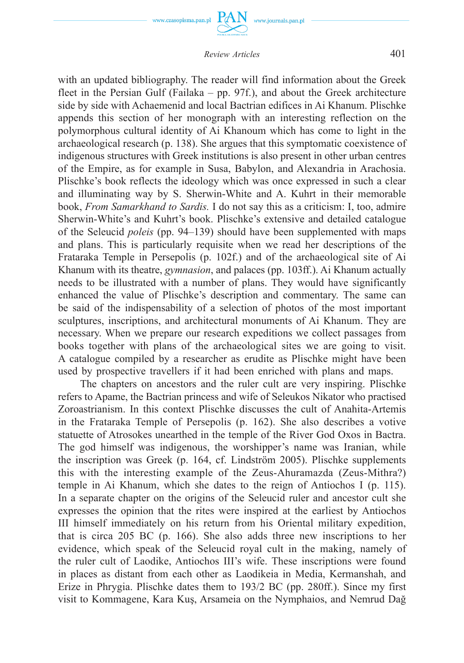

www.journals.pan.pl

with an updated bibliography. The reader will find information about the Greek fleet in the Persian Gulf (Failaka – pp. 97f.), and about the Greek architecture side by side with Achaemenid and local Bactrian edifices in Ai Khanum. Plischke appends this section of her monograph with an interesting reflection on the polymorphous cultural identity of Ai Khanoum which has come to light in the archaeological research (p. 138). She argues that this symptomatic coexistence of indigenous structures with Greek institutions is also present in other urban centres of the Empire, as for example in Susa, Babylon, and Alexandria in Arachosia. Plischke's book reflects the ideology which was once expressed in such a clear and illuminating way by S. Sherwin-White and A. Kuhrt in their memorable book, *From Samarkhand to Sardis.* I do not say this as a criticism: I, too, admire Sherwin-White's and Kuhrt's book. Plischke's extensive and detailed catalogue of the Seleucid *poleis* (pp. 94–139) should have been supplemented with maps and plans. This is particularly requisite when we read her descriptions of the Frataraka Temple in Persepolis (p. 102f.) and of the archaeological site of Ai Khanum with its theatre, *gymnasion*, and palaces (pp. 103ff.). Ai Khanum actually needs to be illustrated with a number of plans. They would have significantly enhanced the value of Plischke's description and commentary. The same can be said of the indispensability of a selection of photos of the most important sculptures, inscriptions, and architectural monuments of Ai Khanum. They are necessary. When we prepare our research expeditions we collect passages from books together with plans of the archaeological sites we are going to visit. A catalogue compiled by a researcher as erudite as Plischke might have been used by prospective travellers if it had been enriched with plans and maps.

The chapters on ancestors and the ruler cult are very inspiring. Plischke refers to Apame, the Bactrian princess and wife of Seleukos Nikator who practised Zoroastrianism. In this context Plischke discusses the cult of Anahita-Artemis in the Frataraka Temple of Persepolis (p. 162). She also describes a votive statuette of Atrosokes unearthed in the temple of the River God Oxos in Bactra. The god himself was indigenous, the worshipper's name was Iranian, while the inscription was Greek (p. 164, cf. Lindström 2005). Plischke supplements this with the interesting example of the Zeus-Ahuramazda (Zeus-Mithra?) temple in Ai Khanum, which she dates to the reign of Antiochos I (p. 115). In a separate chapter on the origins of the Seleucid ruler and ancestor cult she expresses the opinion that the rites were inspired at the earliest by Antiochos III himself immediately on his return from his Oriental military expedition, that is circa 205 BC (p. 166). She also adds three new inscriptions to her evidence, which speak of the Seleucid royal cult in the making, namely of the ruler cult of Laodike, Antiochos III's wife. These inscriptions were found in places as distant from each other as Laodikeia in Media, Kermanshah, and Erize in Phrygia. Plischke dates them to 193/2 BC (pp. 280ff.). Since my first visit to Kommagene, Kara Kuş, Arsameia on the Nymphaios, and Nemrud Dağ

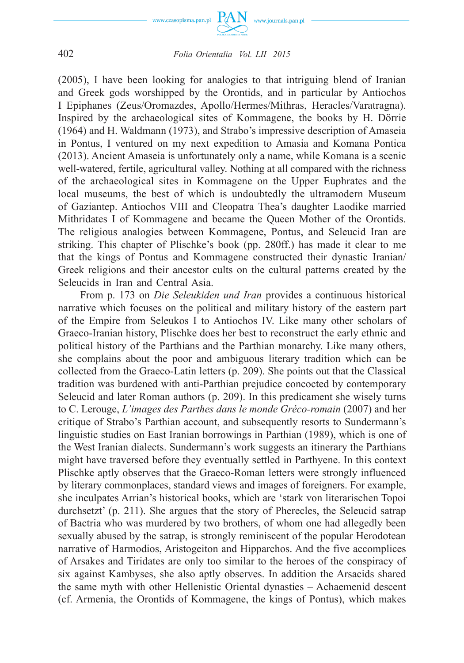

(2005), I have been looking for analogies to that intriguing blend of Iranian and Greek gods worshipped by the Orontids, and in particular by Antiochos I Epiphanes (Zeus/Oromazdes, Apollo/Hermes/Mithras, Heracles/Varatragna). Inspired by the archaeological sites of Kommagene, the books by H. Dörrie (1964) and H. Waldmann (1973), and Strabo's impressive description of Amaseia in Pontus, I ventured on my next expedition to Amasia and Komana Pontica (2013). Ancient Amaseia is unfortunately only a name, while Komana is a scenic well-watered, fertile, agricultural valley. Nothing at all compared with the richness of the archaeological sites in Kommagene on the Upper Euphrates and the local museums, the best of which is undoubtedly the ultramodern Museum of Gaziantep. Antiochos VIII and Cleopatra Thea's daughter Laodike married Mithridates I of Kommagene and became the Queen Mother of the Orontids. The religious analogies between Kommagene, Pontus, and Seleucid Iran are striking. This chapter of Plischke's book (pp. 280ff.) has made it clear to me that the kings of Pontus and Kommagene constructed their dynastic Iranian/ Greek religions and their ancestor cults on the cultural patterns created by the Seleucids in Iran and Central Asia.

From p. 173 on *Die Seleukiden und Iran* provides a continuous historical narrative which focuses on the political and military history of the eastern part of the Empire from Seleukos I to Antiochos IV. Like many other scholars of Graeco-Iranian history, Plischke does her best to reconstruct the early ethnic and political history of the Parthians and the Parthian monarchy. Like many others, she complains about the poor and ambiguous literary tradition which can be collected from the Graeco-Latin letters (p. 209). She points out that the Classical tradition was burdened with anti-Parthian prejudice concocted by contemporary Seleucid and later Roman authors (p. 209). In this predicament she wisely turns to C. Lerouge, *L'images des Parthes dans le monde Gréco-romain* (2007) and her critique of Strabo's Parthian account, and subsequently resorts to Sundermann's linguistic studies on East Iranian borrowings in Parthian (1989), which is one of the West Iranian dialects. Sundermann's work suggests an itinerary the Parthians might have traversed before they eventually settled in Parthyene. In this context Plischke aptly observes that the Graeco-Roman letters were strongly influenced by literary commonplaces, standard views and images of foreigners. For example, she inculpates Arrian's historical books, which are 'stark von literarischen Topoi durchsetzt' (p. 211). She argues that the story of Pherecles, the Seleucid satrap of Bactria who was murdered by two brothers, of whom one had allegedly been sexually abused by the satrap, is strongly reminiscent of the popular Herodotean narrative of Harmodios, Aristogeiton and Hipparchos. And the five accomplices of Arsakes and Tiridates are only too similar to the heroes of the conspiracy of six against Kambyses, she also aptly observes. In addition the Arsacids shared the same myth with other Hellenistic Oriental dynasties – Achaemenid descent (cf. Armenia, the Orontids of Kommagene, the kings of Pontus), which makes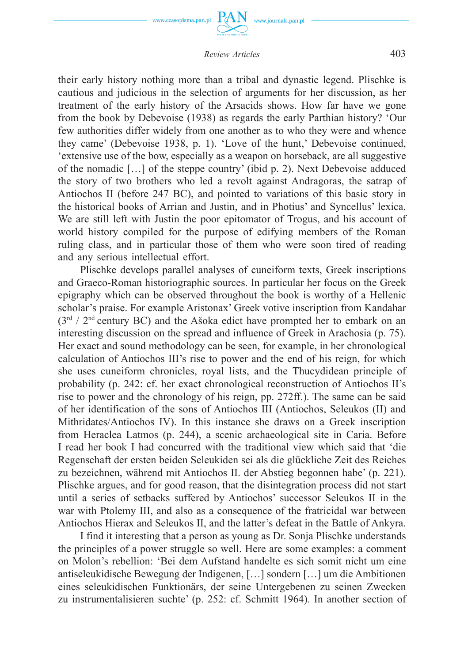

www.journals.pan.pl

their early history nothing more than a tribal and dynastic legend. Plischke is cautious and judicious in the selection of arguments for her discussion, as her treatment of the early history of the Arsacids shows. How far have we gone from the book by Debevoise (1938) as regards the early Parthian history? 'Our few authorities differ widely from one another as to who they were and whence they came' (Debevoise 1938, p. 1). 'Love of the hunt,' Debevoise continued, 'extensive use of the bow, especially as a weapon on horseback, are all suggestive of the nomadic […] of the steppe country' (ibid p. 2). Next Debevoise adduced the story of two brothers who led a revolt against Andragoras, the satrap of Antiochos II (before 247 BC), and pointed to variations of this basic story in the historical books of Arrian and Justin, and in Photius' and Syncellus' lexica. We are still left with Justin the poor epitomator of Trogus, and his account of world history compiled for the purpose of edifying members of the Roman ruling class, and in particular those of them who were soon tired of reading and any serious intellectual effort.

Plischke develops parallel analyses of cuneiform texts, Greek inscriptions and Graeco-Roman historiographic sources. In particular her focus on the Greek epigraphy which can be observed throughout the book is worthy of a Hellenic scholar's praise. For example Aristonax' Greek votive inscription from Kandahar  $(3<sup>rd</sup> / 2<sup>nd</sup>$  century BC) and the Ašoka edict have prompted her to embark on an interesting discussion on the spread and influence of Greek in Arachosia (p. 75). Her exact and sound methodology can be seen, for example, in her chronological calculation of Antiochos III's rise to power and the end of his reign, for which she uses cuneiform chronicles, royal lists, and the Thucydidean principle of probability (p. 242: cf. her exact chronological reconstruction of Antiochos II's rise to power and the chronology of his reign, pp. 272ff.). The same can be said of her identification of the sons of Antiochos III (Antiochos, Seleukos (II) and Mithridates/Antiochos IV). In this instance she draws on a Greek inscription from Heraclea Latmos (p. 244), a scenic archaeological site in Caria. Before I read her book I had concurred with the traditional view which said that 'die Regenschaft der ersten beiden Seleukiden sei als die glückliche Zeit des Reiches zu bezeichnen, während mit Antiochos II. der Abstieg begonnen habe' (p. 221). Plischke argues, and for good reason, that the disintegration process did not start until a series of setbacks suffered by Antiochos' successor Seleukos II in the war with Ptolemy III, and also as a consequence of the fratricidal war between Antiochos Hierax and Seleukos II, and the latter's defeat in the Battle of Ankyra.

I find it interesting that a person as young as Dr. Sonja Plischke understands the principles of a power struggle so well. Here are some examples: a comment on Molon's rebellion: 'Bei dem Aufstand handelte es sich somit nicht um eine antiseleukidische Bewegung der Indigenen, […] sondern […] um die Ambitionen eines seleukidischen Funktionärs, der seine Untergebenen zu seinen Zwecken zu instrumentalisieren suchte' (p. 252: cf. Schmitt 1964). In another section of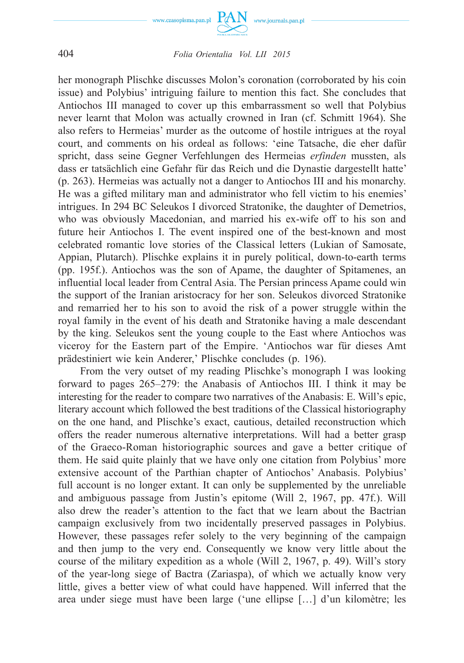

her monograph Plischke discusses Molon's coronation (corroborated by his coin issue) and Polybius' intriguing failure to mention this fact. She concludes that Antiochos III managed to cover up this embarrassment so well that Polybius never learnt that Molon was actually crowned in Iran (cf. Schmitt 1964). She also refers to Hermeias' murder as the outcome of hostile intrigues at the royal court, and comments on his ordeal as follows: 'eine Tatsache, die eher dafür spricht, dass seine Gegner Verfehlungen des Hermeias *erfinden* mussten, als dass er tatsächlich eine Gefahr für das Reich und die Dynastie dargestellt hatte' (p. 263). Hermeias was actually not a danger to Antiochos III and his monarchy. He was a gifted military man and administrator who fell victim to his enemies' intrigues. In 294 BC Seleukos I divorced Stratonike, the daughter of Demetrios, who was obviously Macedonian, and married his ex-wife off to his son and future heir Antiochos I. The event inspired one of the best-known and most celebrated romantic love stories of the Classical letters (Lukian of Samosate, Appian, Plutarch). Plischke explains it in purely political, down-to-earth terms (pp. 195f.). Antiochos was the son of Apame, the daughter of Spitamenes, an influential local leader from Central Asia. The Persian princess Apame could win the support of the Iranian aristocracy for her son. Seleukos divorced Stratonike and remarried her to his son to avoid the risk of a power struggle within the royal family in the event of his death and Stratonike having a male descendant by the king. Seleukos sent the young couple to the East where Antiochos was viceroy for the Eastern part of the Empire. 'Antiochos war für dieses Amt prädestiniert wie kein Anderer,' Plischke concludes (p. 196).

From the very outset of my reading Plischke's monograph I was looking forward to pages 265–279: the Anabasis of Antiochos III. I think it may be interesting for the reader to compare two narratives of the Anabasis: E. Will's epic, literary account which followed the best traditions of the Classical historiography on the one hand, and Plischke's exact, cautious, detailed reconstruction which offers the reader numerous alternative interpretations. Will had a better grasp of the Graeco-Roman historiographic sources and gave a better critique of them. He said quite plainly that we have only one citation from Polybius' more extensive account of the Parthian chapter of Antiochos' Anabasis. Polybius' full account is no longer extant. It can only be supplemented by the unreliable and ambiguous passage from Justin's epitome (Will 2, 1967, pp. 47f.). Will also drew the reader's attention to the fact that we learn about the Bactrian campaign exclusively from two incidentally preserved passages in Polybius. However, these passages refer solely to the very beginning of the campaign and then jump to the very end. Consequently we know very little about the course of the military expedition as a whole (Will 2, 1967, p. 49). Will's story of the year-long siege of Bactra (Zariaspa), of which we actually know very little, gives a better view of what could have happened. Will inferred that the area under siege must have been large ('une ellipse […] d'un kilomètre; les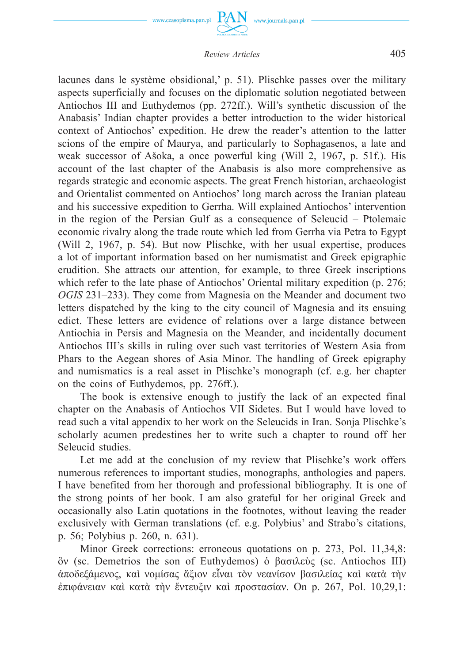

www.journals.pan.pl

lacunes dans le système obsidional,' p. 51). Plischke passes over the military aspects superficially and focuses on the diplomatic solution negotiated between Antiochos III and Euthydemos (pp. 272ff.). Will's synthetic discussion of the Anabasis' Indian chapter provides a better introduction to the wider historical context of Antiochos' expedition. He drew the reader's attention to the latter scions of the empire of Maurya, and particularly to Sophagasenos, a late and weak successor of Ašoka, a once powerful king (Will 2, 1967, p. 51f.). His account of the last chapter of the Anabasis is also more comprehensive as regards strategic and economic aspects. The great French historian, archaeologist and Orientalist commented on Antiochos' long march across the Iranian plateau and his successive expedition to Gerrha. Will explained Antiochos' intervention in the region of the Persian Gulf as a consequence of Seleucid – Ptolemaic economic rivalry along the trade route which led from Gerrha via Petra to Egypt (Will 2, 1967, p. 54). But now Plischke, with her usual expertise, produces a lot of important information based on her numismatist and Greek epigraphic erudition. She attracts our attention, for example, to three Greek inscriptions which refer to the late phase of Antiochos' Oriental military expedition (p. 276; *OGIS* 231–233). They come from Magnesia on the Meander and document two letters dispatched by the king to the city council of Magnesia and its ensuing edict. These letters are evidence of relations over a large distance between Antiochia in Persis and Magnesia on the Meander, and incidentally document Antiochos III's skills in ruling over such vast territories of Western Asia from Phars to the Aegean shores of Asia Minor. The handling of Greek epigraphy and numismatics is a real asset in Plischke's monograph (cf. e.g. her chapter on the coins of Euthydemos, pp. 276ff.).

The book is extensive enough to justify the lack of an expected final chapter on the Anabasis of Antiochos VII Sidetes. But I would have loved to read such a vital appendix to her work on the Seleucids in Iran. Sonja Plischke's scholarly acumen predestines her to write such a chapter to round off her Seleucid studies.

Let me add at the conclusion of my review that Plischke's work offers numerous references to important studies, monographs, anthologies and papers. I have benefited from her thorough and professional bibliography. It is one of the strong points of her book. I am also grateful for her original Greek and occasionally also Latin quotations in the footnotes, without leaving the reader exclusively with German translations (cf. e.g. Polybius' and Strabo's citations, p. 56; Polybius p. 260, n. 631).

Minor Greek corrections: erroneous quotations on p. 273, Pol. 11,34,8: ὃν (sc. Demetrios the son of Euthydemos) ὁ βασιλεὺς (sc. Antiochos III) ἀποδεξάμενος, καὶ νομίσας ἄξιον εἶναι τὸν νεανίσον βασιλείας καὶ κατὰ τὴν ἐπιφάνειαν καὶ κατὰ τὴν ἔντευξιν καὶ προστασίαν. On p. 267, Pol. 10,29,1: